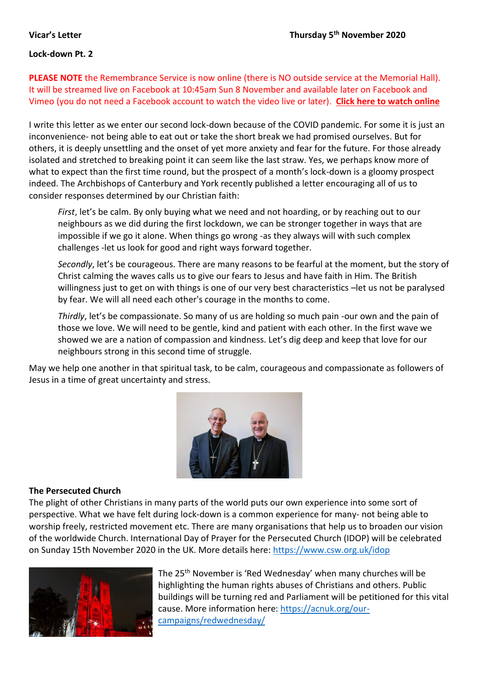### **Lock-down Pt. 2**

**PLEASE NOTE** the Remembrance Service is now online (there is NO outside service at the Memorial Hall). It will be streamed live on Facebook at 10:45am Sun 8 November and available later on Facebook and Vimeo (you do not need a Facebook account to watch the video live or later). **[Click here to watch online](https://www.facebook.com/pg/stlawrencelechlade/videos/)**

I write this letter as we enter our second lock-down because of the COVID pandemic. For some it is just an inconvenience- not being able to eat out or take the short break we had promised ourselves. But for others, it is deeply unsettling and the onset of yet more anxiety and fear for the future. For those already isolated and stretched to breaking point it can seem like the last straw. Yes, we perhaps know more of what to expect than the first time round, but the prospect of a month's lock-down is a gloomy prospect indeed. The Archbishops of Canterbury and York recently published a letter encouraging all of us to consider responses determined by our Christian faith:

*First*, let's be calm. By only buying what we need and not hoarding, or by reaching out to our neighbours as we did during the first lockdown, we can be stronger together in ways that are impossible if we go it alone. When things go wrong -as they always will with such complex challenges -let us look for good and right ways forward together.

*Secondly*, let's be courageous. There are many reasons to be fearful at the moment, but the story of Christ calming the waves calls us to give our fears to Jesus and have faith in Him. The British willingness just to get on with things is one of our very best characteristics –let us not be paralysed by fear. We will all need each other's courage in the months to come.

*Thirdly*, let's be compassionate. So many of us are holding so much pain -our own and the pain of those we love. We will need to be gentle, kind and patient with each other. In the first wave we showed we are a nation of compassion and kindness. Let's dig deep and keep that love for our neighbours strong in this second time of struggle.

May we help one another in that spiritual task, to be calm, courageous and compassionate as followers of Jesus in a time of great uncertainty and stress.



### **The Persecuted Church**

The plight of other Christians in many parts of the world puts our own experience into some sort of perspective. What we have felt during lock-down is a common experience for many- not being able to worship freely, restricted movement etc. There are many organisations that help us to broaden our vision of the worldwide Church. International Day of Prayer for the Persecuted Church (IDOP) will be celebrated on Sunday 15th November 2020 in the UK. More details here: [https://www.csw.org.uk/idop](about:blank)



The 25<sup>th</sup> November is 'Red Wednesday' when many churches will be highlighting the human rights abuses of Christians and others. Public buildings will be turning red and Parliament will be petitioned for this vital cause. More information here: [https://acnuk.org/our](about:blank)[campaigns/redwednesday/](about:blank)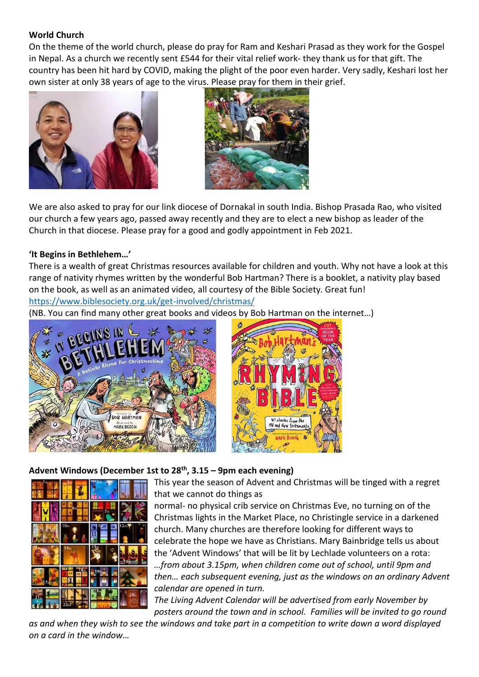# **World Church**

On the theme of the world church, please do pray for Ram and Keshari Prasad as they work for the Gospel in Nepal. As a church we recently sent £544 for their vital relief work- they thank us for that gift. The country has been hit hard by COVID, making the plight of the poor even harder. Very sadly, Keshari lost her own sister at only 38 years of age to the virus. Please pray for them in their grief.





We are also asked to pray for our link diocese of Dornakal in south India. Bishop Prasada Rao, who visited our church a few years ago, passed away recently and they are to elect a new bishop as leader of the Church in that diocese. Please pray for a good and godly appointment in Feb 2021.

# **'It Begins in Bethlehem…'**

There is a wealth of great Christmas resources available for children and youth. Why not have a look at this range of nativity rhymes written by the wonderful Bob Hartman? There is a booklet, a nativity play based on the book, as well as an animated video, all courtesy of the Bible Society. Great fun!

[https://www.biblesociety.org.uk/get-involved/christmas/](about:blank)

(NB. You can find many other great books and videos by Bob Hartman on the internet…)





# **Advent Windows (December 1st to 28 th, 3.15 – 9pm each evening)**



This year the season of Advent and Christmas will be tinged with a regret that we cannot do things as

normal- no physical crib service on Christmas Eve, no turning on of the Christmas lights in the Market Place, no Christingle service in a darkened church. Many churches are therefore looking for different ways to celebrate the hope we have as Christians. Mary Bainbridge tells us about the 'Advent Windows' that will be lit by Lechlade volunteers on a rota: *…from about 3.15pm, when children come out of school, until 9pm and then… each subsequent evening, just as the windows on an ordinary Advent calendar are opened in turn.*

*The Living Advent Calendar will be advertised from early November by posters around the town and in school. Families will be invited to go round* 

*as and when they wish to see the windows and take part in a competition to write down a word displayed on a card in the window…*